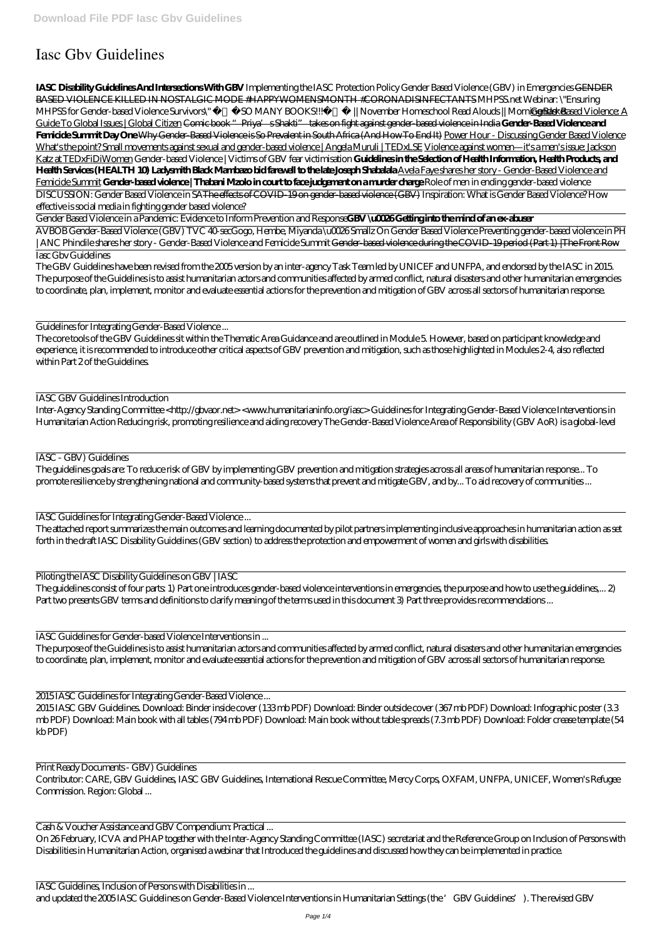## **Iasc Gbv Guidelines**

**IASC Disability Guidelines And Intersections With GBV** *Implementing the IASC Protection Policy Gender Based Violence (GBV) in Emergencies* GENDER BASED VIOLENCE KILLED IN NOSTALGIC MODE #HAPPYWOMENSMONTH #CORONADISINFECTANTS *MHPSS.net Webinar: \"Ensuring MHPSS for Gender-based Violence Survivors\" SO MANY BOOKS!!!* //November Homeschool Read Alouds //Morning Based Example Rased Violence: A Guide To Global Issues | Global Citizen Comic book "Priya's Shakti" takes on fight against gender-based violence in India **Gender-Based Violence and Femicide Summit Day One** Why Gender-Based Violence is So Prevalent in South Africa (And How To End It) Power Hour - Discussing Gender Based Violence What's the point? Small movements against sexual and gender-based violence | Angela Muruli | TEDxLSE Violence against women—it's a men's issue: Jackson Katz at TEDxFiDiWomen *Gender-based Violence | Victims of GBV fear victimisation* **Guidelines in the Selection of Health Information, Health Products, and Health Services (HEALTH 10) Ladysmith Black Mambazo bid farewell to the late Joseph Shabalala** Avela Faye shares her story - Gender-Based Violence and Femicide Summit Gender-based violence | Thabani Mzolo in court to face judgement on a murder charge Role of men in ending gender-based violence DISCUSSION: Gender Based Violence in SAThe effects of COVID-19 on gender-based violence (GBV) Inspiration: What is Gender Based Violence? *How effective is social media in fighting gender based violence?*

Gender Based Violence in a Pandemic: Evidence to Inform Prevention and Response**GBV \u0026 Getting into the mind of an ex-abuser**

AVBOB Gender-Based Violence (GBV) TVC 40-sec*Gogo, Hembe, Miyanda \u0026 Smallz On Gender Based Violence* Preventing gender-based violence in PH | ANC *Phindile shares her story - Gender-Based Violence and Femicide Summit* Gender-based violence during the COVID-19 period (Part 1) |The Front Row Iasc Gbv Guidelines

The guidelines consist of four parts: 1) Part one introduces gender-based violence interventions in emergencies, the purpose and how to use the guidelines,... 2) Part two presents GBV terms and definitions to clarify meaning of the terms used in this document 3) Part three provides recommendations ...

The GBV Guidelines have been revised from the 2005 version by an inter-agency Task Team led by UNICEF and UNFPA, and endorsed by the IASC in 2015. The purpose of the Guidelines is to assist humanitarian actors and communities affected by armed conflict, natural disasters and other humanitarian emergencies to coordinate, plan, implement, monitor and evaluate essential actions for the prevention and mitigation of GBV across all sectors of humanitarian response.

Guidelines for Integrating Gender-Based Violence ...

The core tools of the GBV Guidelines sit within the Thematic Area Guidance and are outlined in Module 5. However, based on participant knowledge and experience, it is recommended to introduce other critical aspects of GBV prevention and mitigation, such as those highlighted in Modules 2-4, also reflected within Part 2 of the Guidelines.

## IASC GBV Guidelines Introduction

Inter-Agency Standing Committee <http://gbvaor.net> <www.humanitarianinfo.org/iasc> Guidelines for Integrating Gender-Based Violence Interventions in Humanitarian Action Reducing risk, promoting resilience and aiding recovery The Gender-Based Violence Area of Responsibility (GBV AoR) is a global-level

IASC - GBV) Guidelines

The guidelines goals are: To reduce risk of GBV by implementing GBV prevention and mitigation strategies across all areas of humanitarian response... To promote resilience by strengthening national and community-based systems that prevent and mitigate GBV, and by... To aid recovery of communities ...

IASC Guidelines for Integrating Gender-Based Violence ...

The attached report summarizes the main outcomes and learning documented by pilot partners implementing inclusive approaches in humanitarian action as set forth in the draft IASC Disability Guidelines (GBV section) to address the protection and empowerment of women and girls with disabilities.

Piloting the IASC Disability Guidelines on GBV | IASC

IASC Guidelines for Gender-based Violence Interventions in ...

The purpose of the Guidelines is to assist humanitarian actors and communities affected by armed conflict, natural disasters and other humanitarian emergencies to coordinate, plan, implement, monitor and evaluate essential actions for the prevention and mitigation of GBV across all sectors of humanitarian response.

2015 IASC Guidelines for Integrating Gender-Based Violence ...

2015 IASC GBV Guidelines. Download: Binder inside cover (133 mb PDF) Download: Binder outside cover (367 mb PDF) Download: Infographic poster (3.3 mb PDF) Download: Main book with all tables (794 mb PDF) Download: Main book without table spreads (7.3 mb PDF) Download: Folder crease template (54 kb PDF)

Print Ready Documents - GBV) Guidelines Contributor: CARE, GBV Guidelines, IASC GBV Guidelines, International Rescue Committee, Mercy Corps, OXFAM, UNFPA, UNICEF, Women's Refugee Commission. Region: Global ...

Cash & Voucher Assistance and GBV Compendium: Practical ...

On 26 February, ICVA and PHAP together with the Inter-Agency Standing Committee (IASC) secretariat and the Reference Group on Inclusion of Persons with Disabilities in Humanitarian Action, organised a webinar that Introduced the guidelines and discussed how they can be implemented in practice.

IASC Guidelines, Inclusion of Persons with Disabilities in ...

and updated the 2005 IASC Guidelines on Gender-Based Violence Interventions in Humanitarian Settings (the 'GBV Guidelines'). The revised GBV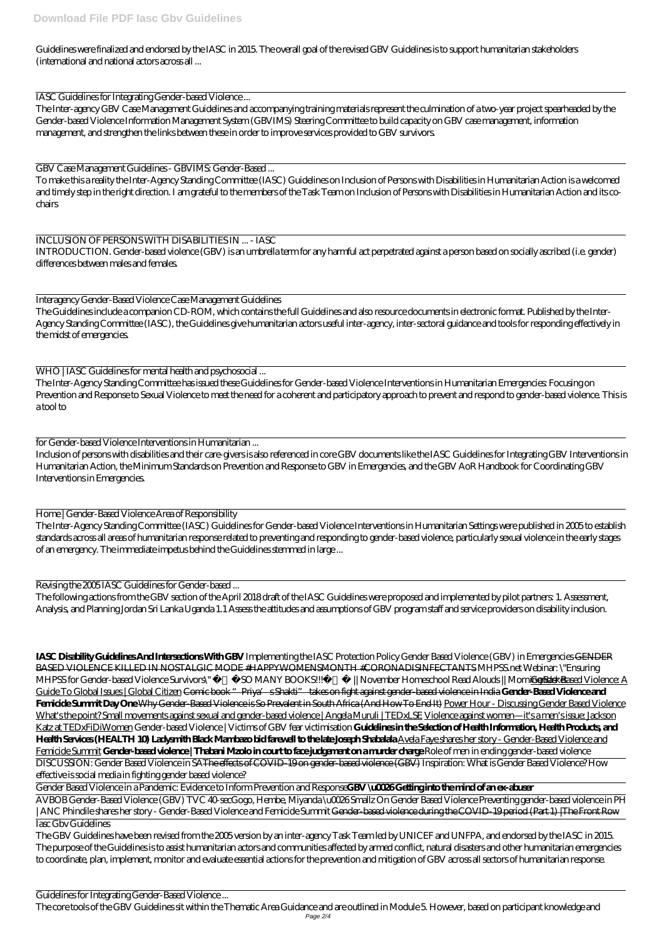Guidelines were finalized and endorsed by the IASC in 2015. The overall goal of the revised GBV Guidelines is to support humanitarian stakeholders (international and national actors across all ...

IASC Guidelines for Integrating Gender-based Violence ...

The Inter-agency GBV Case Management Guidelines and accompanying training materials represent the culmination of a two-year project spearheaded by the Gender-based Violence Information Management System (GBVIMS) Steering Committee to build capacity on GBV case management, information management, and strengthen the links between these in order to improve services provided to GBV survivors.

GBV Case Management Guidelines - GBVIMS: Gender-Based ...

To make this a reality the Inter-Agency Standing Committee (IASC) Guidelines on Inclusion of Persons with Disabilities in Humanitarian Action is a welcomed and timely step in the right direction. I am grateful to the members of the Task Team on Inclusion of Persons with Disabilities in Humanitarian Action and its cochairs

INCLUSION OF PERSONS WITH DISABILITIES IN ... - IASC INTRODUCTION. Gender-based violence (GBV) is an umbrella term for any harmful act perpetrated against a person based on socially ascribed (i.e. gender) differences between males and females.

Interagency Gender-Based Violence Case Management Guidelines The Guidelines include a companion CD-ROM, which contains the full Guidelines and also resource documents in electronic format. Published by the Inter-Agency Standing Committee (IASC), the Guidelines give humanitarian actors useful inter-agency, inter-sectoral guidance and tools for responding effectively in

WHO | IASC Guidelines for mental health and psychosocial ...

the midst of emergencies.

The Inter-Agency Standing Committee has issued these Guidelines for Gender-based Violence Interventions in Humanitarian Emergencies: Focusing on Prevention and Response to Sexual Violence to meet the need for a coherent and participatory approach to prevent and respond to gender-based violence. This is a tool to

for Gender-based Violence Interventions in Humanitarian ...

Inclusion of persons with disabilities and their care-givers is also referenced in core GBV documents like the IASC Guidelines for Integrating GBV Interventions in Humanitarian Action, the Minimum Standards on Prevention and Response to GBV in Emergencies, and the GBV AoR Handbook for Coordinating GBV Interventions in Emergencies.

Home | Gender-Based Violence Area of Responsibility

The Inter-Agency Standing Committee (IASC) Guidelines for Gender-based Violence Interventions in Humanitarian Settings were published in 2005 to establish standards across all areas of humanitarian response related to preventing and responding to gender-based violence, particularly sexual violence in the early stages of an emergency. The immediate impetus behind the Guidelines stemmed in large ...

Revising the 2005 IASC Guidelines for Gender-based ...

The following actions from the GBV section of the April 2018 draft of the IASC Guidelines were proposed and implemented by pilot partners: 1. Assessment, Analysis, and Planning Jordan Sri Lanka Uganda 1.1 Assess the attitudes and assumptions of GBV program staff and service providers on disability inclusion.

**IASC Disability Guidelines And Intersections With GBV** *Implementing the IASC Protection Policy Gender Based Violence (GBV) in Emergencies* GENDER BASED VIOLENCE KILLED IN NOSTALGIC MODE #HAPPYWOMENSMONTH #CORONADISINFECTANTS *MHPSS.net Webinar: \"Ensuring MHPSS for Gender-based Violence Survivors\" SO MANY BOOKS!!!* //November Homeschool Read Alouds //Morning Based Example Rased Violence: A Guide To Global Issues | Global Citizen Comic book "Priya's Shakti" takes on fight against gender-based violence in India **Gender-Based Violence and Femicide Summit Day One** Why Gender-Based Violence is So Prevalent in South Africa (And How To End It) Power Hour - Discussing Gender Based Violence What's the point? Small movements against sexual and gender-based violence | Angela Muruli | TEDxLSE Violence against women—it's a men's issue: Jackson Katz at TEDxFiDiWomen *Gender-based Violence | Victims of GBV fear victimisation* **Guidelines in the Selection of Health Information, Health Products, and Health Services (HEALTH 10) Ladysmith Black Mambazo bid farewell to the late Joseph Shabalala** Avela Faye shares her story - Gender-Based Violence and Femicide Summit Gender-based violence | Thabani Mzolo in court to face judgement on a murder charge Role of men in ending gender-based violence DISCUSSION: Gender Based Violence in SAThe effects of COVID-19 on gender-based violence (GBV) Inspiration: What is Gender Based Violence? *How effective is social media in fighting gender based violence?*

Gender Based Violence in a Pandemic: Evidence to Inform Prevention and Response**GBV \u0026 Getting into the mind of an ex-abuser**

AVBOB Gender-Based Violence (GBV) TVC 40-sec*Gogo, Hembe, Miyanda \u0026 Smallz On Gender Based Violence* Preventing gender-based violence in PH | ANC *Phindile shares her story - Gender-Based Violence and Femicide Summit* Gender-based violence during the COVID-19 period (Part 1) |The Front Row Iasc Gbv Guidelines

The GBV Guidelines have been revised from the 2005 version by an inter-agency Task Team led by UNICEF and UNFPA, and endorsed by the IASC in 2015. The purpose of the Guidelines is to assist humanitarian actors and communities affected by armed conflict, natural disasters and other humanitarian emergencies to coordinate, plan, implement, monitor and evaluate essential actions for the prevention and mitigation of GBV across all sectors of humanitarian response.

Guidelines for Integrating Gender-Based Violence ...

The core tools of the GBV Guidelines sit within the Thematic Area Guidance and are outlined in Module 5. However, based on participant knowledge and Page 2/4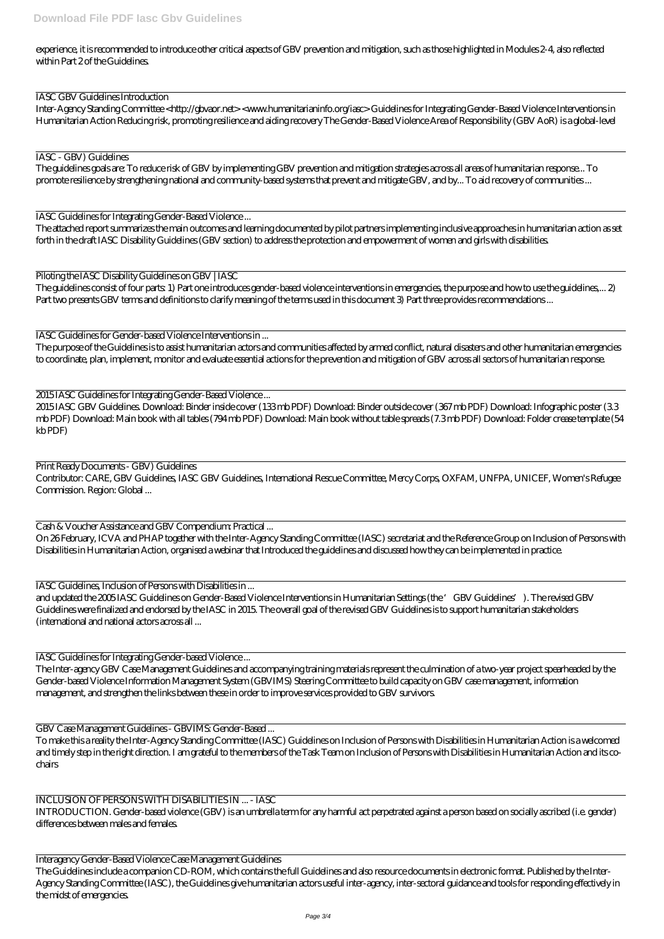experience, it is recommended to introduce other critical aspects of GBV prevention and mitigation, such as those highlighted in Modules 2-4, also reflected within Part 2 of the Guidelines.

IASC GBV Guidelines Introduction

Inter-Agency Standing Committee < http://gbvaor.net> <www.humanitarianinfo.org/iasc> Guidelines for Integrating Gender-Based Violence Interventions in Humanitarian Action Reducing risk, promoting resilience and aiding recovery The Gender-Based Violence Area of Responsibility (GBV AoR) is a global-level

IASC - GBV) Guidelines

The guidelines goals are: To reduce risk of GBV by implementing GBV prevention and mitigation strategies across all areas of humanitarian response... To promote resilience by strengthening national and community-based systems that prevent and mitigate GBV, and by... To aid recovery of communities ...

The guidelines consist of four parts: 1) Part one introduces gender-based violence interventions in emergencies, the purpose and how to use the guidelines,... 2) Part two presents GBV terms and definitions to clarify meaning of the terms used in this document 3) Part three provides recommendations ...

IASC Guidelines for Integrating Gender-Based Violence ...

The attached report summarizes the main outcomes and learning documented by pilot partners implementing inclusive approaches in humanitarian action as set forth in the draft IASC Disability Guidelines (GBV section) to address the protection and empowerment of women and girls with disabilities.

Piloting the IASC Disability Guidelines on GBV | IASC

IASC Guidelines for Gender-based Violence Interventions in ...

The purpose of the Guidelines is to assist humanitarian actors and communities affected by armed conflict, natural disasters and other humanitarian emergencies to coordinate, plan, implement, monitor and evaluate essential actions for the prevention and mitigation of GBV across all sectors of humanitarian response.

2015 IASC Guidelines for Integrating Gender-Based Violence ...

2015 IASC GBV Guidelines. Download: Binder inside cover (133 mb PDF) Download: Binder outside cover (367 mb PDF) Download: Infographic poster (3.3 mb PDF) Download: Main book with all tables (794 mb PDF) Download: Main book without table spreads (7.3 mb PDF) Download: Folder crease template (54 kb PDF)

Print Ready Documents - GBV) Guidelines

Contributor: CARE, GBV Guidelines, IASC GBV Guidelines, International Rescue Committee, Mercy Corps, OXFAM, UNFPA, UNICEF, Women's Refugee Commission. Region: Global ...

Cash & Voucher Assistance and GBV Compendium: Practical ...

On 26 February, ICVA and PHAP together with the Inter-Agency Standing Committee (IASC) secretariat and the Reference Group on Inclusion of Persons with Disabilities in Humanitarian Action, organised a webinar that Introduced the guidelines and discussed how they can be implemented in practice.

IASC Guidelines, Inclusion of Persons with Disabilities in ...

and updated the 2005 IASC Guidelines on Gender-Based Violence Interventions in Humanitarian Settings (the 'GBV Guidelines'). The revised GBV Guidelines were finalized and endorsed by the IASC in 2015. The overall goal of the revised GBV Guidelines is to support humanitarian stakeholders (international and national actors across all ...

IASC Guidelines for Integrating Gender-based Violence ...

The Inter-agency GBV Case Management Guidelines and accompanying training materials represent the culmination of a two-year project spearheaded by the Gender-based Violence Information Management System (GBVIMS) Steering Committee to build capacity on GBV case management, information management, and strengthen the links between these in order to improve services provided to GBV survivors.

GBV Case Management Guidelines - GBVIMS: Gender-Based ...

To make this a reality the Inter-Agency Standing Committee (IASC) Guidelines on Inclusion of Persons with Disabilities in Humanitarian Action is a welcomed and timely step in the right direction. I am grateful to the members of the Task Team on Inclusion of Persons with Disabilities in Humanitarian Action and its cochairs

## INCLUSION OF PERSONS WITH DISABILITIES IN ... - IASC

INTRODUCTION. Gender-based violence (GBV) is an umbrella term for any harmful act perpetrated against a person based on socially ascribed (i.e. gender) differences between males and females.

Interagency Gender-Based Violence Case Management Guidelines The Guidelines include a companion CD-ROM, which contains the full Guidelines and also resource documents in electronic format. Published by the Inter-Agency Standing Committee (IASC), the Guidelines give humanitarian actors useful inter-agency, inter-sectoral guidance and tools for responding effectively in the midst of emergencies.